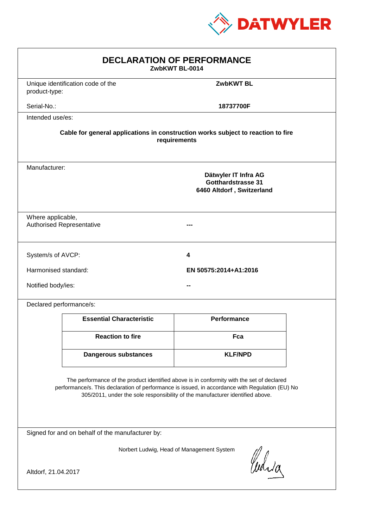

| <b>DECLARATION OF PERFORMANCE</b><br>ZwbKWT BL-0014                                                                                                                                                                                                                           |                                                                                                 |                       |  |
|-------------------------------------------------------------------------------------------------------------------------------------------------------------------------------------------------------------------------------------------------------------------------------|-------------------------------------------------------------------------------------------------|-----------------------|--|
| product-type:                                                                                                                                                                                                                                                                 | Unique identification code of the                                                               | <b>ZwbKWT BL</b>      |  |
| Serial-No.:                                                                                                                                                                                                                                                                   |                                                                                                 | 18737700F             |  |
| Intended use/es:                                                                                                                                                                                                                                                              |                                                                                                 |                       |  |
| Cable for general applications in construction works subject to reaction to fire<br>requirements                                                                                                                                                                              |                                                                                                 |                       |  |
|                                                                                                                                                                                                                                                                               | Manufacturer:<br>Dätwyler IT Infra AG<br><b>Gotthardstrasse 31</b><br>6460 Altdorf, Switzerland |                       |  |
| Where applicable,<br><b>Authorised Representative</b>                                                                                                                                                                                                                         |                                                                                                 |                       |  |
| System/s of AVCP:                                                                                                                                                                                                                                                             |                                                                                                 | 4                     |  |
| Harmonised standard:                                                                                                                                                                                                                                                          |                                                                                                 | EN 50575:2014+A1:2016 |  |
| Notified body/ies:                                                                                                                                                                                                                                                            |                                                                                                 |                       |  |
| Declared performance/s:                                                                                                                                                                                                                                                       |                                                                                                 |                       |  |
|                                                                                                                                                                                                                                                                               | <b>Essential Characteristic</b>                                                                 | <b>Performance</b>    |  |
|                                                                                                                                                                                                                                                                               | <b>Reaction to fire</b>                                                                         | Fca                   |  |
|                                                                                                                                                                                                                                                                               | <b>Dangerous substances</b>                                                                     | <b>KLF/NPD</b>        |  |
| The performance of the product identified above is in conformity with the set of declared<br>performance/s. This declaration of performance is issued, in accordance with Regulation (EU) No<br>305/2011, under the sole responsibility of the manufacturer identified above. |                                                                                                 |                       |  |
| Signed for and on behalf of the manufacturer by:                                                                                                                                                                                                                              |                                                                                                 |                       |  |
| Norbert Ludwig, Head of Management System<br>Curia                                                                                                                                                                                                                            |                                                                                                 |                       |  |
| Altdorf, 21.04.2017                                                                                                                                                                                                                                                           |                                                                                                 |                       |  |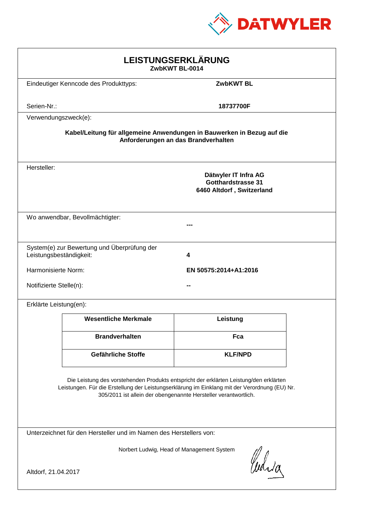

| LEISTUNGSERKLÄRUNG<br>ZwbKWT BL-0014                                                                                                                                                                                                                       |                                                                         |                  |  |
|------------------------------------------------------------------------------------------------------------------------------------------------------------------------------------------------------------------------------------------------------------|-------------------------------------------------------------------------|------------------|--|
|                                                                                                                                                                                                                                                            | Eindeutiger Kenncode des Produkttyps:                                   | <b>ZwbKWT BL</b> |  |
| Serien-Nr.:                                                                                                                                                                                                                                                |                                                                         | 18737700F        |  |
| Verwendungszweck(e):                                                                                                                                                                                                                                       |                                                                         |                  |  |
| Kabel/Leitung für allgemeine Anwendungen in Bauwerken in Bezug auf die<br>Anforderungen an das Brandverhalten                                                                                                                                              |                                                                         |                  |  |
| Hersteller:                                                                                                                                                                                                                                                | Dätwyler IT Infra AG<br>Gotthardstrasse 31<br>6460 Altdorf, Switzerland |                  |  |
|                                                                                                                                                                                                                                                            | Wo anwendbar, Bevollmächtigter:                                         |                  |  |
| Leistungsbeständigkeit:                                                                                                                                                                                                                                    | System(e) zur Bewertung und Überprüfung der                             | 4                |  |
|                                                                                                                                                                                                                                                            | Harmonisierte Norm:<br>EN 50575:2014+A1:2016                            |                  |  |
| Notifizierte Stelle(n):                                                                                                                                                                                                                                    |                                                                         |                  |  |
| Erklärte Leistung(en):                                                                                                                                                                                                                                     |                                                                         |                  |  |
|                                                                                                                                                                                                                                                            | <b>Wesentliche Merkmale</b>                                             | Leistung         |  |
|                                                                                                                                                                                                                                                            | <b>Brandverhalten</b>                                                   | Fca              |  |
|                                                                                                                                                                                                                                                            | Gefährliche Stoffe                                                      | <b>KLF/NPD</b>   |  |
| Die Leistung des vorstehenden Produkts entspricht der erklärten Leistung/den erklärten<br>Leistungen. Für die Erstellung der Leistungserklärung im Einklang mit der Verordnung (EU) Nr.<br>305/2011 ist allein der obengenannte Hersteller verantwortlich. |                                                                         |                  |  |
| Unterzeichnet für den Hersteller und im Namen des Herstellers von:                                                                                                                                                                                         |                                                                         |                  |  |
| Norbert Ludwig, Head of Management System<br>Whia<br>Altdorf, 21.04.2017                                                                                                                                                                                   |                                                                         |                  |  |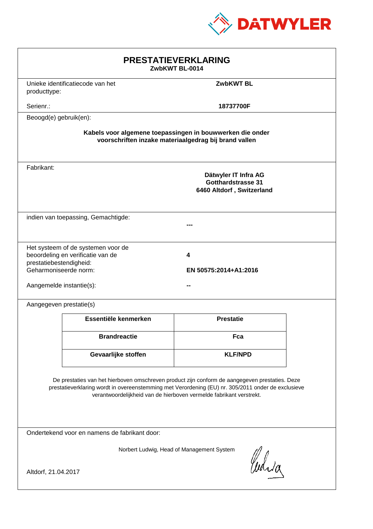

| <b>PRESTATIEVERKLARING</b><br>ZwbKWT BL-0014                                                                                                                                                                                                                                |                                  |                                                                                |  |
|-----------------------------------------------------------------------------------------------------------------------------------------------------------------------------------------------------------------------------------------------------------------------------|----------------------------------|--------------------------------------------------------------------------------|--|
| producttype:                                                                                                                                                                                                                                                                | Unieke identificatiecode van het | <b>ZwbKWT BL</b>                                                               |  |
| Serienr.:                                                                                                                                                                                                                                                                   |                                  | 18737700F                                                                      |  |
| Beoogd(e) gebruik(en):                                                                                                                                                                                                                                                      |                                  |                                                                                |  |
| Kabels voor algemene toepassingen in bouwwerken die onder<br>voorschriften inzake materiaalgedrag bij brand vallen                                                                                                                                                          |                                  |                                                                                |  |
| Fabrikant:                                                                                                                                                                                                                                                                  |                                  | Dätwyler IT Infra AG<br><b>Gotthardstrasse 31</b><br>6460 Altdorf, Switzerland |  |
| indien van toepassing, Gemachtigde:                                                                                                                                                                                                                                         |                                  |                                                                                |  |
| Het systeem of de systemen voor de<br>beoordeling en verificatie van de<br>4<br>prestatiebestendigheid:<br>Geharmoniseerde norm:<br>EN 50575:2014+A1:2016<br>Aangemelde instantie(s):                                                                                       |                                  |                                                                                |  |
| Aangegeven prestatie(s)                                                                                                                                                                                                                                                     |                                  |                                                                                |  |
|                                                                                                                                                                                                                                                                             | Essentiële kenmerken             | <b>Prestatie</b>                                                               |  |
|                                                                                                                                                                                                                                                                             | <b>Brandreactie</b>              | Fca                                                                            |  |
|                                                                                                                                                                                                                                                                             | Gevaarlijke stoffen              | <b>KLF/NPD</b>                                                                 |  |
| De prestaties van het hierboven omschreven product zijn conform de aangegeven prestaties. Deze<br>prestatieverklaring wordt in overeenstemming met Verordening (EU) nr. 305/2011 onder de exclusieve<br>verantwoordelijkheid van de hierboven vermelde fabrikant verstrekt. |                                  |                                                                                |  |
| Ondertekend voor en namens de fabrikant door:                                                                                                                                                                                                                               |                                  |                                                                                |  |
| Norbert Ludwig, Head of Management System<br>Cudia<br>Altdorf, 21.04.2017                                                                                                                                                                                                   |                                  |                                                                                |  |
|                                                                                                                                                                                                                                                                             |                                  |                                                                                |  |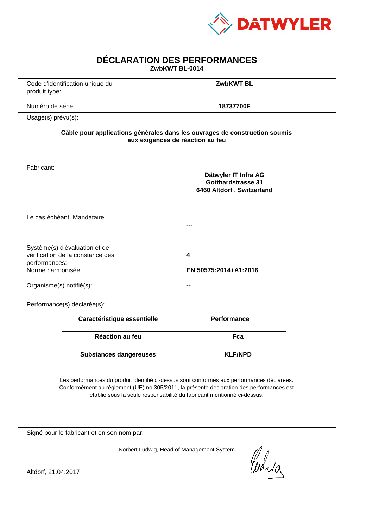

| Code d'identification unique du<br>produit type:<br>Numéro de série:<br>Usage(s) prévu(s):<br>Fabricant:                                                                                                                                                         | <b>ZwbKWT BL</b><br>18737700F                                                                                  |  |  |  |  |
|------------------------------------------------------------------------------------------------------------------------------------------------------------------------------------------------------------------------------------------------------------------|----------------------------------------------------------------------------------------------------------------|--|--|--|--|
|                                                                                                                                                                                                                                                                  |                                                                                                                |  |  |  |  |
|                                                                                                                                                                                                                                                                  |                                                                                                                |  |  |  |  |
|                                                                                                                                                                                                                                                                  |                                                                                                                |  |  |  |  |
|                                                                                                                                                                                                                                                                  | Câble pour applications générales dans les ouvrages de construction soumis<br>aux exigences de réaction au feu |  |  |  |  |
|                                                                                                                                                                                                                                                                  | Dätwyler IT Infra AG<br><b>Gotthardstrasse 31</b><br>6460 Altdorf, Switzerland                                 |  |  |  |  |
| Le cas échéant, Mandataire                                                                                                                                                                                                                                       |                                                                                                                |  |  |  |  |
| Système(s) d'évaluation et de<br>vérification de la constance des<br>4<br>performances:<br>Norme harmonisée:<br>Organisme(s) notifié(s):                                                                                                                         | EN 50575:2014+A1:2016                                                                                          |  |  |  |  |
| Performance(s) déclarée(s):                                                                                                                                                                                                                                      |                                                                                                                |  |  |  |  |
| Caractéristique essentielle                                                                                                                                                                                                                                      | <b>Performance</b>                                                                                             |  |  |  |  |
| <b>Réaction au feu</b>                                                                                                                                                                                                                                           | Fca                                                                                                            |  |  |  |  |
| <b>Substances dangereuses</b>                                                                                                                                                                                                                                    | <b>KLF/NPD</b>                                                                                                 |  |  |  |  |
| Les performances du produit identifié ci-dessus sont conformes aux performances déclarées.<br>Conformément au règlement (UE) no 305/2011, la présente déclaration des performances est<br>établie sous la seule responsabilité du fabricant mentionné ci-dessus. |                                                                                                                |  |  |  |  |
| Signé pour le fabricant et en son nom par:                                                                                                                                                                                                                       |                                                                                                                |  |  |  |  |
| Norbert Ludwig, Head of Management System<br>Curia<br>Altdorf, 21.04.2017                                                                                                                                                                                        |                                                                                                                |  |  |  |  |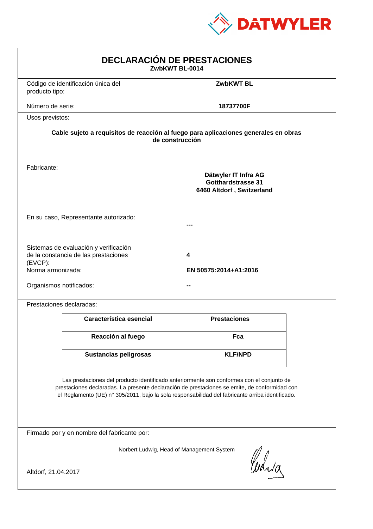

| <b>DECLARACIÓN DE PRESTACIONES</b><br>ZwbKWT BL-0014                                                                                                                                                                                                                                           |                                                                                                        |                            |  |  |
|------------------------------------------------------------------------------------------------------------------------------------------------------------------------------------------------------------------------------------------------------------------------------------------------|--------------------------------------------------------------------------------------------------------|----------------------------|--|--|
| producto tipo:                                                                                                                                                                                                                                                                                 | Código de identificación única del                                                                     | <b>ZwbKWT BL</b>           |  |  |
| Número de serie:                                                                                                                                                                                                                                                                               |                                                                                                        | 18737700F                  |  |  |
| Usos previstos:                                                                                                                                                                                                                                                                                |                                                                                                        |                            |  |  |
|                                                                                                                                                                                                                                                                                                | Cable sujeto a requisitos de reacción al fuego para aplicaciones generales en obras<br>de construcción |                            |  |  |
| Fabricante:                                                                                                                                                                                                                                                                                    | Dätwyler IT Infra AG<br><b>Gotthardstrasse 31</b><br>6460 Altdorf, Switzerland                         |                            |  |  |
|                                                                                                                                                                                                                                                                                                | En su caso, Representante autorizado:                                                                  |                            |  |  |
| (EVCP):<br>Norma armonizada:<br>Organismos notificados:                                                                                                                                                                                                                                        | Sistemas de evaluación y verificación<br>de la constancia de las prestaciones                          | 4<br>EN 50575:2014+A1:2016 |  |  |
|                                                                                                                                                                                                                                                                                                | Prestaciones declaradas:                                                                               |                            |  |  |
|                                                                                                                                                                                                                                                                                                | Característica esencial                                                                                | <b>Prestaciones</b>        |  |  |
|                                                                                                                                                                                                                                                                                                | Reacción al fuego                                                                                      | Fca                        |  |  |
|                                                                                                                                                                                                                                                                                                | <b>Sustancias peligrosas</b>                                                                           | <b>KLF/NPD</b>             |  |  |
| Las prestaciones del producto identificado anteriormente son conformes con el conjunto de<br>prestaciones declaradas. La presente declaración de prestaciones se emite, de conformidad con<br>el Reglamento (UE) nº 305/2011, bajo la sola responsabilidad del fabricante arriba identificado. |                                                                                                        |                            |  |  |
|                                                                                                                                                                                                                                                                                                | Firmado por y en nombre del fabricante por:                                                            |                            |  |  |
| Norbert Ludwig, Head of Management System<br>Curia<br>Altdorf, 21.04.2017                                                                                                                                                                                                                      |                                                                                                        |                            |  |  |